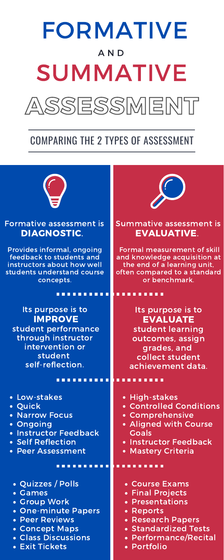### Formative assessment is DIAGNOSTIC.

Provides informal, ongoing feedback to students and instructors about how well students understand course concepts.

#### Summative assessment is EVALUATIVE.

Formal measurement of skill and knowledge acquisition at the end of a learning unit, often compared to a standard or benchmark.

Its purpose is to EVALUATE student learning

# ASSESSMENT SUMMATIVE A N D FORMATIVE

| through instructor    | outcomes, assign        |
|-----------------------|-------------------------|
| intervention or       | grades, and             |
| student               | collect student         |
| self-reflection.      | achievement data.       |
|                       |                         |
| • Low-stakes          | • High-stakes           |
| · Quick               | • Controlled Conditions |
| • Narrow Focus        | • Comprehensive         |
| · Ongoing             | • Aligned with Course   |
| · Instructor Feedback | <b>Goals</b>            |
| • Self Reflection     | • Instructor Feedback   |
| • Peer Assessment     | • Mastery Criteria      |
| • Quizzes / Polls     | • Course Exams          |
| • Games               | • Final Projects        |
| · Group Work          | • Presentations         |
| • One-minute Papers   | • Reports               |
| • Peer Reviews        | • Research Papers       |
| <b>Concept Maps</b>   | • Standardized Tests    |
| • Class Discussions   | • Performance/Recital   |
| • Exit Tickets        | • Portfolio             |

Its purpose is to IMPROVE student performance through instructor



# COMPARING THE 2 TYPES OF ASSESSMENT